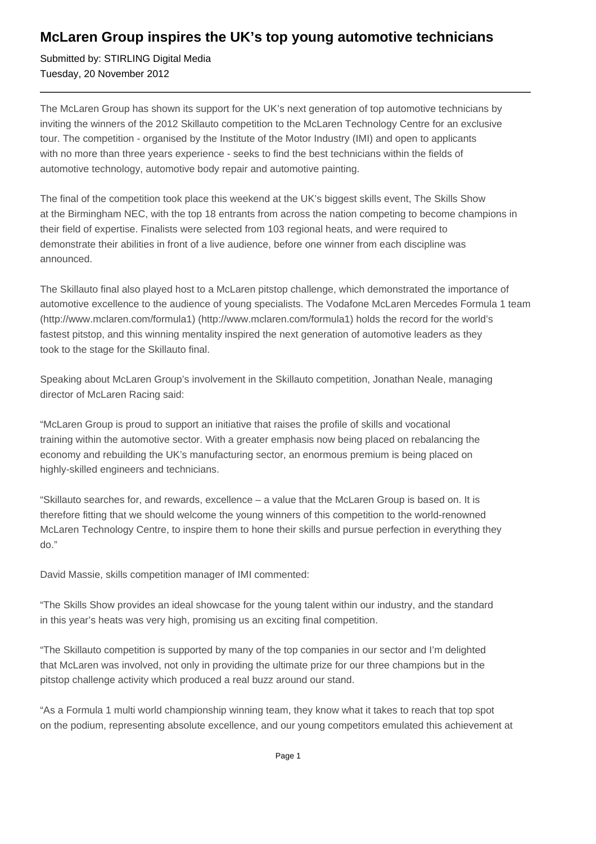## **McLaren Group inspires the UK's top young automotive technicians**

Submitted by: STIRLING Digital Media Tuesday, 20 November 2012

The McLaren Group has shown its support for the UK's next generation of top automotive technicians by inviting the winners of the 2012 Skillauto competition to the McLaren Technology Centre for an exclusive tour. The competition - organised by the Institute of the Motor Industry (IMI) and open to applicants with no more than three years experience - seeks to find the best technicians within the fields of automotive technology, automotive body repair and automotive painting.

The final of the competition took place this weekend at the UK's biggest skills event, The Skills Show at the Birmingham NEC, with the top 18 entrants from across the nation competing to become champions in their field of expertise. Finalists were selected from 103 regional heats, and were required to demonstrate their abilities in front of a live audience, before one winner from each discipline was announced.

The Skillauto final also played host to a McLaren pitstop challenge, which demonstrated the importance of automotive excellence to the audience of young specialists. The Vodafone McLaren Mercedes Formula 1 team (http://www.mclaren.com/formula1) (http://www.mclaren.com/formula1) holds the record for the world's fastest pitstop, and this winning mentality inspired the next generation of automotive leaders as they took to the stage for the Skillauto final.

Speaking about McLaren Group's involvement in the Skillauto competition, Jonathan Neale, managing director of McLaren Racing said:

"McLaren Group is proud to support an initiative that raises the profile of skills and vocational training within the automotive sector. With a greater emphasis now being placed on rebalancing the economy and rebuilding the UK's manufacturing sector, an enormous premium is being placed on highly-skilled engineers and technicians.

"Skillauto searches for, and rewards, excellence – a value that the McLaren Group is based on. It is therefore fitting that we should welcome the young winners of this competition to the world-renowned McLaren Technology Centre, to inspire them to hone their skills and pursue perfection in everything they do."

David Massie, skills competition manager of IMI commented:

"The Skills Show provides an ideal showcase for the young talent within our industry, and the standard in this year's heats was very high, promising us an exciting final competition.

"The Skillauto competition is supported by many of the top companies in our sector and I'm delighted that McLaren was involved, not only in providing the ultimate prize for our three champions but in the pitstop challenge activity which produced a real buzz around our stand.

"As a Formula 1 multi world championship winning team, they know what it takes to reach that top spot on the podium, representing absolute excellence, and our young competitors emulated this achievement at